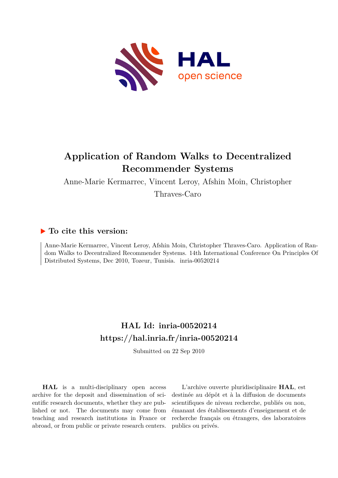

# **Application of Random Walks to Decentralized Recommender Systems**

Anne-Marie Kermarrec, Vincent Leroy, Afshin Moin, Christopher

Thraves-Caro

## **To cite this version:**

Anne-Marie Kermarrec, Vincent Leroy, Afshin Moin, Christopher Thraves-Caro. Application of Random Walks to Decentralized Recommender Systems. 14th International Conference On Principles Of Distributed Systems, Dec 2010, Tozeur, Tunisia. inria-00520214

## **HAL Id: inria-00520214 <https://hal.inria.fr/inria-00520214>**

Submitted on 22 Sep 2010

**HAL** is a multi-disciplinary open access archive for the deposit and dissemination of scientific research documents, whether they are published or not. The documents may come from teaching and research institutions in France or abroad, or from public or private research centers.

L'archive ouverte pluridisciplinaire **HAL**, est destinée au dépôt et à la diffusion de documents scientifiques de niveau recherche, publiés ou non, émanant des établissements d'enseignement et de recherche français ou étrangers, des laboratoires publics ou privés.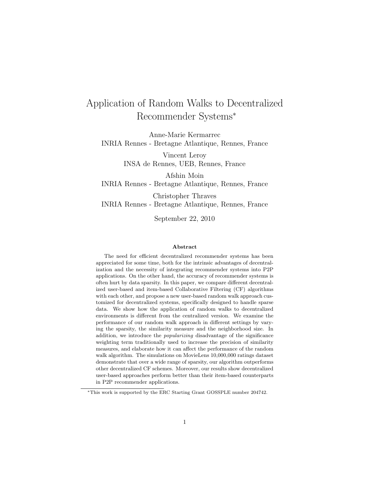## Application of Random Walks to Decentralized Recommender Systems<sup>∗</sup>

Anne-Marie Kermarrec INRIA Rennes - Bretagne Atlantique, Rennes, France

> Vincent Leroy INSA de Rennes, UEB, Rennes, France

Afshin Moin INRIA Rennes - Bretagne Atlantique, Rennes, France

Christopher Thraves INRIA Rennes - Bretagne Atlantique, Rennes, France

September 22, 2010

#### Abstract

The need for efficient decentralized recommender systems has been appreciated for some time, both for the intrinsic advantages of decentralization and the necessity of integrating recommender systems into P2P applications. On the other hand, the accuracy of recommender systems is often hurt by data sparsity. In this paper, we compare different decentralized user-based and item-based Collaborative Filtering (CF) algorithms with each other, and propose a new user-based random walk approach customized for decentralized systems, specifically designed to handle sparse data. We show how the application of random walks to decentralized environments is different from the centralized version. We examine the performance of our random walk approach in different settings by varying the sparsity, the similarity measure and the neighborhood size. In addition, we introduce the popularizing disadvantage of the significance weighting term traditionally used to increase the precision of similarity measures, and elaborate how it can affect the performance of the random walk algorithm. The simulations on MovieLens 10,000,000 ratings dataset demonstrate that over a wide range of sparsity, our algorithm outperforms other decentralized CF schemes. Moreover, our results show decentralized user-based approaches perform better than their item-based counterparts in P2P recommender applications.

<sup>∗</sup>This work is supported by the ERC Starting Grant GOSSPLE number 204742.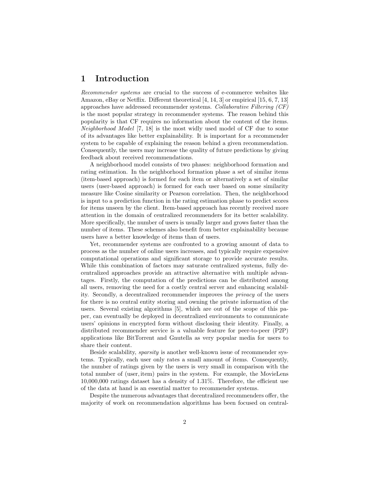### 1 Introduction

Recommender systems are crucial to the success of e-commerce websites like Amazon, eBay or Netflix. Different theoretical [4, 14, 3] or empirical [15, 6, 7, 13] approaches have addressed recommender systems. Collaborative Filtering (CF) is the most popular strategy in recommender systems. The reason behind this popularity is that CF requires no information about the content of the items. Neighborhood Model [7, 18] is the most widly used model of CF due to some of its advantages like better explainability. It is important for a recommender system to be capable of explaining the reason behind a given recommendation. Consequently, the users may increase the quality of future predictions by giving feedback about received recommendations.

A neighborhood model consists of two phases: neighborhood formation and rating estimation. In the neighborhood formation phase a set of similar items (item-based approach) is formed for each item or alternatively a set of similar users (user-based approach) is formed for each user based on some similarity measure like Cosine similarity or Pearson correlation. Then, the neighborhood is input to a prediction function in the rating estimation phase to predict scores for items unseen by the client. Item-based approach has recently received more attention in the domain of centralized recommenders for its better scalability. More specifically, the number of users is usually larger and grows faster than the number of items. These schemes also benefit from better explainability because users have a better knowledge of items than of users.

Yet, recommender systems are confronted to a growing amount of data to process as the number of online users increases, and typically require expensive computational operations and significant storage to provide accurate results. While this combination of factors may saturate centralized systems, fully decentralized approaches provide an attractive alternative with multiple advantages. Firstly, the computation of the predictions can be distributed among all users, removing the need for a costly central server and enhancing scalability. Secondly, a decentralized recommender improves the privacy of the users for there is no central entity storing and owning the private information of the users. Several existing algorithms [5], which are out of the scope of this paper, can eventually be deployed in decentralized environments to communicate users' opinions in encrypted form without disclosing their identity. Finally, a distributed recommender service is a valuable feature for peer-to-peer (P2P) applications like BitTorrent and Gnutella as very popular media for users to share their content.

Beside scalability, sparsity is another well-known issue of recommender systems. Typically, each user only rates a small amount of items. Consequently, the number of ratings given by the users is very small in comparison with the total number of (user, item) pairs in the system. For example, the MovieLens 10,000,000 ratings dataset has a density of 1.31%. Therefore, the efficient use of the data at hand is an essential matter to recommender systems.

Despite the numerous advantages that decentralized recommenders offer, the majority of work on recommendation algorithms has been focused on central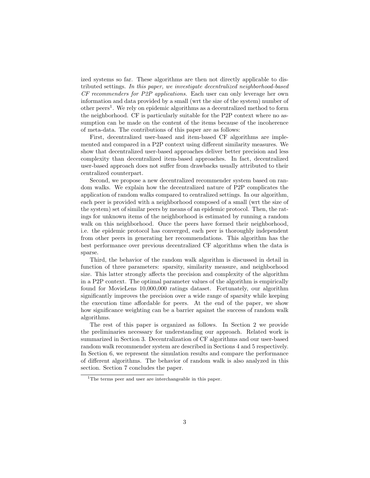ized systems so far. These algorithms are then not directly applicable to distributed settings. In this paper, we investigate decentralized neighborhood-based CF recommenders for P2P applications. Each user can only leverage her own information and data provided by a small (wrt the size of the system) number of other peers<sup>1</sup>. We rely on epidemic algorithms as a decentralized method to form the neighborhood. CF is particularly suitable for the P2P context where no assumption can be made on the content of the items because of the incoherence of meta-data. The contributions of this paper are as follows:

First, decentralized user-based and item-based CF algorithms are implemented and compared in a P2P context using different similarity measures. We show that decentralized user-based approaches deliver better precision and less complexity than decentralized item-based approaches. In fact, decentralized user-based approach does not suffer from drawbacks usually attributed to their centralized counterpart.

Second, we propose a new decentralized recommender system based on random walks. We explain how the decentralized nature of P2P complicates the application of random walks compared to centralized settings. In our algorithm, each peer is provided with a neighborhood composed of a small (wrt the size of the system) set of similar peers by means of an epidemic protocol. Then, the ratings for unknown items of the neighborhood is estimated by running a random walk on this neighborhood. Once the peers have formed their neighborhood, i.e. the epidemic protocol has converged, each peer is thoroughly independent from other peers in generating her recommendations. This algorithm has the best performance over previous decentralized CF algorithms when the data is sparse.

Third, the behavior of the random walk algorithm is discussed in detail in function of three parameters: sparsity, similarity measure, and neighborhood size. This latter strongly affects the precision and complexity of the algorithm in a P2P context. The optimal parameter values of the algorithm is empirically found for MovieLens 10,000,000 ratings dataset. Fortunately, our algorithm significantly improves the precision over a wide range of sparsity while keeping the execution time affordable for peers. At the end of the paper, we show how significance weighting can be a barrier against the success of random walk algorithms.

The rest of this paper is organized as follows. In Section 2 we provide the preliminaries necessary for understanding our approach. Related work is summarized in Section 3. Decentralization of CF algorithms and our user-based random walk recommender system are described in Sections 4 and 5 respectively. In Section 6, we represent the simulation results and compare the performance of different algorithms. The behavior of random walk is also analyzed in this section. Section 7 concludes the paper.

<sup>1</sup>The terms peer and user are interchangeable in this paper.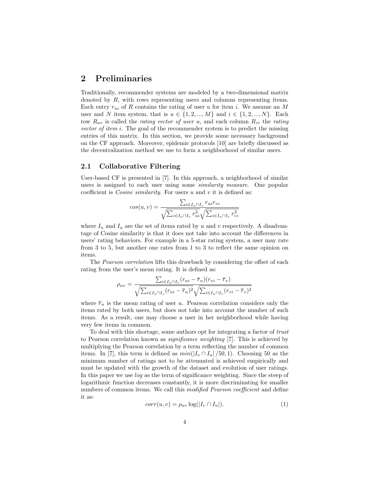#### 2 Preliminaries

Traditionally, recommender systems are modeled by a two-dimensional matrix denoted by R, with rows representing users and columns representing items. Each entry  $r_{ui}$  of R contains the rating of user u for item i. We assume an M user and N item system, that is  $u \in \{1, 2, ..., M\}$  and  $i \in \{1, 2, ..., N\}$ . Each row  $R_{u*}$  is called the rating vector of user u, and each column  $R_{*i}$  the rating vector of item i. The goal of the recommender system is to predict the missing entries of this matrix. In this section, we provide some necessary background on the CF approach. Moreover, epidemic protocols [10] are briefly discussed as the decentralization method we use to form a neighborhood of similar users.

#### 2.1 Collaborative Filtering

User-based CF is presented in [7]. In this approach, a neighborhood of similar users is assigned to each user using some similarity measure. One popular coefficient is *Cosine similarity*. For users  $u$  and  $v$  it is defined as:

$$
cos(u, v) = \frac{\sum_{i \in I_u \cap I_v} r_{ui} r_{vi}}{\sqrt{\sum_{i \in I_u \cap I_v} r_{ui}^2} \sqrt{\sum_{i \in I_u \cap I_v} r_{vi}^2}}
$$

where  $I_u$  and  $I_u$  are the set of items rated by u and v respectively. A disadvantage of Cosine similarity is that it does not take into account the differences in users' rating behaviors. For example in a 5-star rating system, a user may rate from 3 to 5, but another one rates from 1 to 3 to reflect the same opinion on items.

The *Pearson correlation* lifts this drawback by considering the offset of each rating from the user's mean rating. It is defined as:

$$
\rho_{uv} = \frac{\sum_{i \in I_u \cap I_v} (r_{ui} - \overline{r}_u)(r_{vi} - \overline{r}_v)}{\sqrt{\sum_{i \in I_u \cap I_v} (r_{ui} - \overline{r}_u)^2} \sqrt{\sum_{i \in I_u \cap I_v} (r_{vi} - \overline{r}_v)^2}}
$$

where  $\bar{r}_u$  is the mean rating of user u. Pearson correlation considers only the items rated by both users, but does not take into account the number of such items. As a result, one may choose a user in her neighborhood while having very few items in common.

To deal with this shortage, some authors opt for integrating a factor of trust to Pearson correlation known as significance weighting [7]. This is achieved by multiplying the Pearson correlation by a term reflecting the number of common items. In [7], this term is defined as  $min(|I_v \cap I_u|/50,1)$ . Choosing 50 as the minimum number of ratings not to be attenuated is achieved empirically and must be updated with the growth of the dataset and evolution of user ratings. In this paper we use log as the term of significance weighting. Since the steep of logarithmic function decreases constantly, it is more discriminating for smaller numbers of common items. We call this modified Pearson coefficient and define it as:

$$
corr(u, v) = \rho_{uv} \log(|I_v \cap I_u|). \tag{1}
$$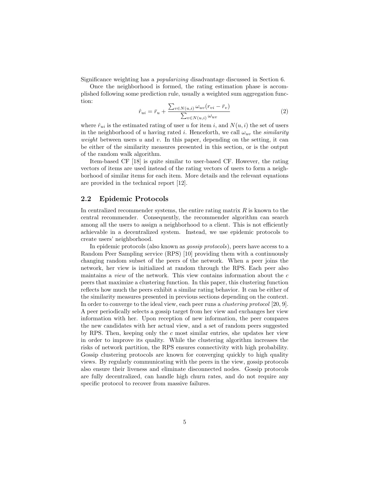Significance weighting has a popularizing disadvantage discussed in Section 6.

Once the neighborhood is formed, the rating estimation phase is accomplished following some prediction rule, usually a weighted sum aggregation function:

$$
\hat{r}_{ui} = \bar{r}_u + \frac{\sum_{v \in N(u,i)} \omega_{uv} (r_{vi} - \bar{r}_v)}{\sum_{v \in N(u,i)} \omega_{uv}}
$$
\n(2)

where  $\hat{r}_{ui}$  is the estimated rating of user u for item i, and  $N(u, i)$  the set of users in the neighborhood of u having rated i. Henceforth, we call  $\omega_{uv}$  the *similarity* weight between users u and v. In this paper, depending on the setting, it can be either of the similarity measures presented in this section, or is the output of the random walk algorithm.

Item-based CF [18] is quite similar to user-based CF. However, the rating vectors of items are used instead of the rating vectors of users to form a neighborhood of similar items for each item. More details and the relevant equations are provided in the technical report [12].

#### 2.2 Epidemic Protocols

In centralized recommender systems, the entire rating matrix  $R$  is known to the central recommender. Consequently, the recommender algorithm can search among all the users to assign a neighborhood to a client. This is not efficiently achievable in a decentralized system. Instead, we use epidemic protocols to create users' neighborhood.

In epidemic protocols (also known as gossip protocols), peers have access to a Random Peer Sampling service (RPS) [10] providing them with a continuously changing random subset of the peers of the network. When a peer joins the network, her view is initialized at random through the RPS. Each peer also maintains a view of the network. This view contains information about the c peers that maximize a clustering function. In this paper, this clustering function reflects how much the peers exhibit a similar rating behavior. It can be either of the similarity measures presented in previous sections depending on the context. In order to converge to the ideal view, each peer runs a clustering protocol [20, 9]. A peer periodically selects a gossip target from her view and exchanges her view information with her. Upon reception of new information, the peer compares the new candidates with her actual view, and a set of random peers suggested by RPS. Then, keeping only the  $c$  most similar entries, she updates her view in order to improve its quality. While the clustering algorithm increases the risks of network partition, the RPS ensures connectivity with high probability. Gossip clustering protocols are known for converging quickly to high quality views. By regularly communicating with the peers in the view, gossip protocols also ensure their liveness and eliminate disconnected nodes. Gossip protocols are fully decentralized, can handle high churn rates, and do not require any specific protocol to recover from massive failures.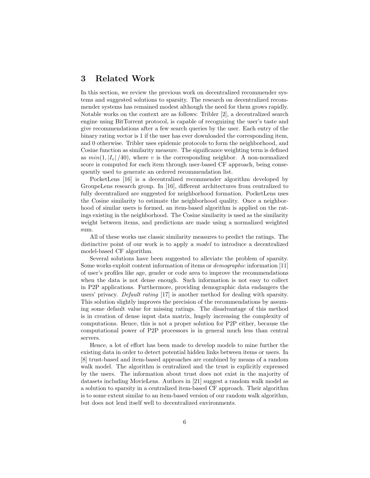## 3 Related Work

In this section, we review the previous work on decentralized recommender systems and suggested solutions to sparsity. The research on decentralized recommender systems has remained modest although the need for them grows rapidly. Notable works on the context are as follows: Tribler [2], a decentralized search engine using BitTorrent protocol, is capable of recognizing the user's taste and give recommendations after a few search queries by the user. Each entry of the binary rating vector is 1 if the user has ever downloaded the corresponding item, and 0 otherwise. Tribler uses epidemic protocols to form the neighborhood, and Cosine function as similarity measure. The significance weighting term is defined as  $min(1, |I_{v}|/40)$ , where v is the corresponding neighbor. A non-normalized score is computed for each item through user-based CF approach, being consequently used to generate an ordered recommendation list.

PocketLens [16] is a decentralized recommender algorithm developed by GroupeLens research group. In [16], different architectures from centralized to fully decentralized are suggested for neighborhood formation. PocketLens uses the Cosine similarity to estimate the neighborhood quality. Once a neighborhood of similar users is formed, an item-based algorithm is applied on the ratings existing in the neighborhood. The Cosine similarity is used as the similarity weight between items, and predictions are made using a normalized weighted sum.

All of these works use classic similarity measures to predict the ratings. The distinctive point of our work is to apply a model to introduce a decentralized model-based CF algorithm.

Several solutions have been suggested to alleviate the problem of sparsity. Some works exploit content information of items or demographic information [11] of user's profiles like age, gender or code area to improve the recommendations when the data is not dense enough. Such information is not easy to collect in P2P applications. Furthermore, providing demographic data endangers the users' privacy. Default rating [17] is another method for dealing with sparsity. This solution slightly improves the precision of the recommendations by assuming some default value for missing ratings. The disadvantage of this method is in creation of dense input data matrix, hugely increasing the complexity of computations. Hence, this is not a proper solution for P2P either, because the computational power of P2P processors is in general much less than central servers.

Hence, a lot of effort has been made to develop models to mine further the existing data in order to detect potential hidden links between items or users. In [8] trust-based and item-based approaches are combined by means of a random walk model. The algorithm is centralized and the trust is explicitly expressed by the users. The information about trust does not exist in the majority of datasets including MovieLens. Authors in [21] suggest a random walk model as a solution to sparsity in a centralized item-based CF approach. Their algorithm is to some extent similar to an item-based version of our random walk algorithm, but does not lend itself well to decentralized environments.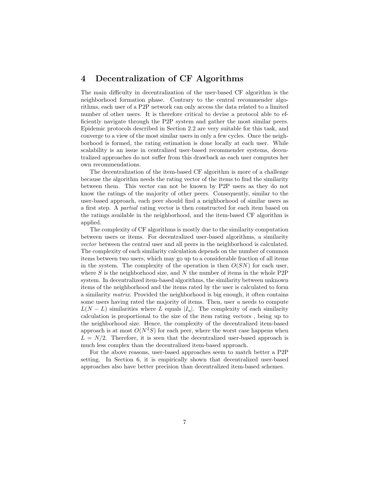## 4 Decentralization of CF Algorithms

The main difficulty in decentralization of the user-based CF algorithm is the neighborhood formation phase. Contrary to the central recommender algorithms, each user of a P2P network can only access the data related to a limited number of other users. It is therefore critical to devise a protocol able to efficiently navigate through the P2P system and gather the most similar peers. Epidemic protocols described in Section 2.2 are very suitable for this task, and converge to a view of the most similar users in only a few cycles. Once the neighborhood is formed, the rating estimation is done locally at each user. While scalability is an issue in centralized user-based recommender systems, decentralized approaches do not suffer from this drawback as each user computes her own recommendations.

The decentralization of the item-based CF algorithm is more of a challenge because the algorithm needs the rating vector of the items to find the similarity between them. This vector can not be known by P2P users as they do not know the ratings of the majority of other peers. Consequently, similar to the user-based approach, each peer should find a neighborhood of similar users as a first step. A partial rating vector is then constructed for each item based on the ratings available in the neighborhood, and the item-based CF algorithm is applied.

The complexity of CF algorithms is mostly due to the similarity computation between users or items. For decentralized user-based algorithms, a similarity vector between the central user and all peers in the neighborhood is calculated. The complexity of each similarity calculation depends on the number of common items between two users, which may go up to a considerable fraction of all items in the system. The complexity of the operation is then  $O(SN)$  for each user, where  $S$  is the neighborhood size, and  $N$  the number of items in the whole P2P system. In decentralized item-based algorithms, the similarity between unknown items of the neighborhood and the items rated by the user is calculated to form a similarity matrix. Provided the neighborhood is big enough, it often contains some users having rated the majority of items. Then, user  $u$  needs to compute  $L(N - L)$  similarities where L equals  $|I_u|$ . The complexity of each similarity calculation is proportional to the size of the item rating vectors , being up to the neighborhood size. Hence, the complexity of the decentralized item-based approach is at most  $O(N^2S)$  for each peer, where the worst case happens when  $L = N/2$ . Therefore, it is seen that the decentralized user-based approach is much less complex than the decentralized item-based approach.

For the above reasons, user-based approaches seem to match better a P2P setting. In Section 6, it is empirically shown that decentralized user-based approaches also have better precision than decentralized item-based schemes.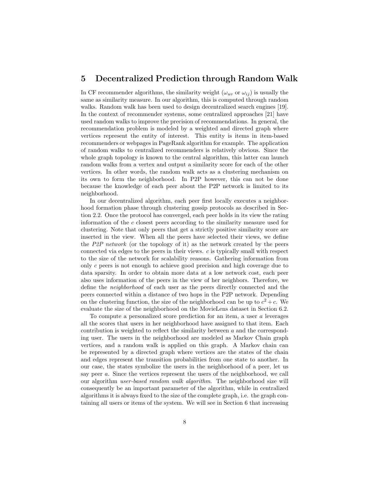## 5 Decentralized Prediction through Random Walk

In CF recommender algorithms, the similarity weight  $(\omega_{uv}$  or  $\omega_{ij})$  is usually the same as similarity measure. In our algorithm, this is computed through random walks. Random walk has been used to design decentralized search engines [19]. In the context of recommender systems, some centralized approaches [21] have used random walks to improve the precision of recommendations. In general, the recommendation problem is modeled by a weighted and directed graph where vertices represent the entity of interest. This entity is items in item-based recommenders or webpages in PageRank algorithm for example. The application of random walks to centralized recommenders is relatively obvious. Since the whole graph topology is known to the central algorithm, this latter can launch random walks from a vertex and output a similarity score for each of the other vertices. In other words, the random walk acts as a clustering mechanism on its own to form the neighborhood. In P2P however, this can not be done because the knowledge of each peer about the P2P network is limited to its neighborhood.

In our decentralized algorithm, each peer first locally executes a neighborhood formation phase through clustering gossip protocols as described in Section 2.2. Once the protocol has converged, each peer holds in its view the rating information of the c closest peers according to the similarity measure used for clustering. Note that only peers that get a strictly positive similarity score are inserted in the view. When all the peers have selected their views, we define the P2P network (or the topology of it) as the network created by the peers connected via edges to the peers in their views.  $c$  is typically small with respect to the size of the network for scalability reasons. Gathering information from only c peers is not enough to achieve good precision and high coverage due to data sparsity. In order to obtain more data at a low network cost, each peer also uses information of the peers in the view of her neighbors. Therefore, we define the neighborhood of each user as the peers directly connected and the peers connected within a distance of two hops in the P2P network. Depending on the clustering function, the size of the neighborhood can be up to  $c^2+c$ . We evaluate the size of the neighborhood on the MovieLens dataset in Section 6.2.

To compute a personalized score prediction for an item, a user a leverages all the scores that users in her neighborhood have assigned to that item. Each contribution is weighted to reflect the similarity between a and the corresponding user. The users in the neighborhood are modeled as Markov Chain graph vertices, and a random walk is applied on this graph. A Markov chain can be represented by a directed graph where vertices are the states of the chain and edges represent the transition probabilities from one state to another. In our case, the states symbolize the users in the neighborhood of a peer, let us say peer a. Since the vertices represent the users of the neighborhood, we call our algorithm user-based random walk algorithm. The neighborhood size will consequently be an important parameter of the algorithm, while in centralized algorithms it is always fixed to the size of the complete graph, i.e. the graph containing all users or items of the system. We will see in Section 6 that increasing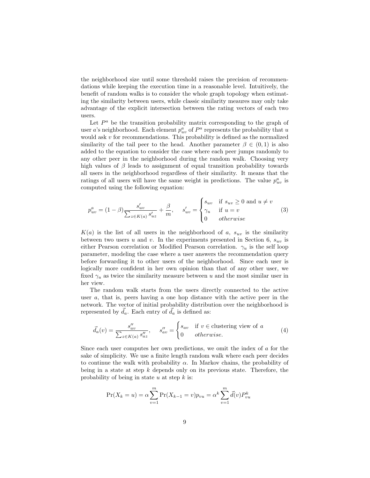the neighborhood size until some threshold raises the precision of recommendations while keeping the execution time in a reasonable level. Intuitively, the benefit of random walks is to consider the whole graph topology when estimating the similarity between users, while classic similarity meaures may only take advantage of the explicit intersection between the rating vectors of each two users.

Let  $P^a$  be the transition probability matrix corresponding to the graph of user a's neighborhood. Each element  $p_{uv}^a$  of  $P^a$  represents the probability that u would ask  $v$  for recommendations. This probability is defined as the normalized similarity of the tail peer to the head. Another parameter  $\beta \in (0,1)$  is also added to the equation to consider the case where each peer jumps randomly to any other peer in the neighborhood during the random walk. Choosing very high values of  $\beta$  leads to assignment of equal transition probability towards all users in the neighborhood regardless of their similarity. It means that the ratings of all users will have the same weight in predictions. The value  $p_{uv}^a$  is computed using the following equation:

$$
p_{uv}^{a} = (1 - \beta) \frac{s_{uv}'}{\sum_{z \in K(a)} s_{uz}'} + \frac{\beta}{m}, \quad s_{uv}' = \begin{cases} s_{uv} & \text{if } s_{uv} \ge 0 \text{ and } u \ne v \\ \gamma_u & \text{if } u = v \\ 0 & otherwise \end{cases}
$$
(3)

 $\overline{ }$ 

 $K(a)$  is the list of all users in the neighborhood of a,  $s_{uv}$  is the similarity between two users u and v. In the experiments presented in Section 6,  $s_{uv}$  is either Pearson correlation or Modified Pearson correlation.  $\gamma_u$  is the self loop parameter, modeling the case where a user answers the recommendation query before forwarding it to other users of the neighborhood. Since each user is logically more confident in her own opinion than that of any other user, we fixed  $\gamma_u$  as twice the similarity measure between u and the most similar user in her view.

The random walk starts from the users directly connected to the active user a, that is, peers having a one hop distance with the active peer in the network. The vector of initial probability distribution over the neighborhood is represented by  $\vec{d}_a$ . Each entry of  $\vec{d}_a$  is defined as:

$$
\vec{d}_a(v) = \frac{s''_{av}}{\sum_{z \in K(a)} s''_{az}}, \quad s''_{av} = \begin{cases} s_{av} & \text{if } v \in \text{clustering view of } a \\ 0 & otherwise. \end{cases}
$$
(4)

Since each user computes her own predictions, we omit the index of a for the sake of simplicity. We use a finite length random walk where each peer decides to continue the walk with probability  $\alpha$ . In Markov chains, the probability of being in a state at step  $k$  depends only on its previous state. Therefore, the probability of being in state  $u$  at step  $k$  is:

$$
Pr(X_k = u) = \alpha \sum_{v=1}^{m} Pr(X_{k-1} = v) p_{vu} = \alpha^k \sum_{v=1}^{m} d(v) P_{vu}^k
$$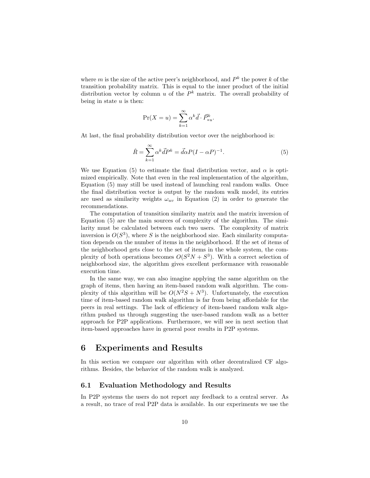where m is the size of the active peer's neighborhood, and  $P^k$  the power k of the transition probability matrix. This is equal to the inner product of the initial distribution vector by column u of the  $P^k$  matrix. The overall probability of being in state  $u$  is then:

$$
\Pr(X = u) = \sum_{k=1}^{\infty} \alpha^k \vec{d} \cdot \vec{P}_{\ast u}^k.
$$

At last, the final probability distribution vector over the neighborhood is:

$$
\hat{R} = \sum_{k=1}^{\infty} \alpha^k \vec{d} P^k = \vec{d} \alpha P (I - \alpha P)^{-1}.
$$
\n(5)

We use Equation (5) to estimate the final distribution vector, and  $\alpha$  is optimized empirically. Note that even in the real implementation of the algorithm, Equation (5) may still be used instead of launching real random walks. Once the final distribution vector is output by the random walk model, its entries are used as similarity weights  $\omega_{uv}$  in Equation (2) in order to generate the recommendations.

The computation of transition similarity matrix and the matrix inversion of Equation (5) are the main sources of complexity of the algorithm. The similarity must be calculated between each two users. The complexity of matrix inversion is  $O(S^3)$ , where S is the neighborhood size. Each similarity computation depends on the number of items in the neighborhood. If the set of items of the neighborhood gets close to the set of items in the whole system, the complexity of both operations becomes  $O(S^2N + S^3)$ . With a correct selection of neighborhood size, the algorithm gives excellent performance with reasonable execution time.

In the same way, we can also imagine applying the same algorithm on the graph of items, then having an item-based random walk algorithm. The complexity of this algorithm will be  $O(N^2S + N^3)$ . Unfortunately, the execution time of item-based random walk algorithm is far from being affordable for the peers in real settings. The lack of efficiency of item-based random walk algorithm pushed us through suggesting the user-based random walk as a better approach for P2P applications. Furthermore, we will see in next section that item-based approaches have in general poor results in P2P systems.

#### 6 Experiments and Results

In this section we compare our algorithm with other decentralized CF algorithms. Besides, the behavior of the random walk is analyzed.

#### 6.1 Evaluation Methodology and Results

In P2P systems the users do not report any feedback to a central server. As a result, no trace of real P2P data is available. In our experiments we use the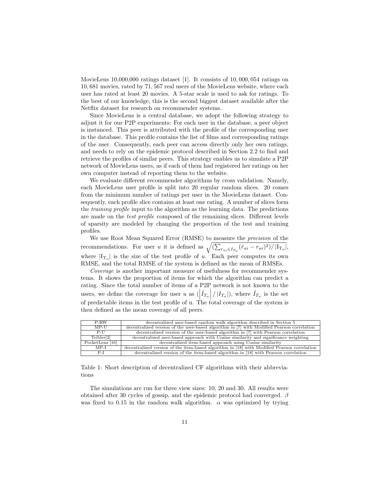MovieLens 10,000,000 ratings dataset [1]. It consists of 10, 000, 054 ratings on 10, 681 movies, rated by 71, 567 real users of the MovieLens website, where each user has rated at least 20 movies. A 5-star scale is used to ask for ratings. To the best of our knowledge, this is the second biggest dataset available after the Netflix dataset for research on recommender systems.

Since MovieLens is a central database, we adopt the following strategy to adjust it for our P2P experiments: For each user in the database, a peer object is instanced. This peer is attributed with the profile of the corresponding user in the database. This profile contains the list of films and corresponding ratings of the user. Consequently, each peer can access directly only her own ratings, and needs to rely on the epidemic protocol described in Section 2.2 to find and retrieve the profiles of similar peers. This strategy enables us to simulate a P2P network of MovieLens users, as if each of them had registered her ratings on her own computer instead of reporting them to the website.

We evaluate different recommender algorithms by cross validation. Namely, each MovieLens user profile is split into 20 regular random slices. 20 comes from the minimum number of ratings per user in the MovieLens dataset. Consequently, each profile slice contains at least one rating. A number of slices form the training profile input to the algorithm as the learning data. The predictions are made on the test profile composed of the remaining slices. Different levels of sparsity are modeled by changing the proportion of the test and training profiles.

We use Root Mean Squared Error (RMSE) to measure the precision of the recommendations. For user u it is defined as  $\sqrt{\left(\sum_{r_{ui}\in I_{T_u}}(\hat{r}_{ui}-r_{ui})^2\right)/\left|\mathbf{I}_{\mathrm{T_u}}\right|}$ , where  $|I_{T_u}|$  is the size of the test profile of u. Each peer computes its own RMSE, and the total RMSE of the system is defined as the mean of RMSEs.

Coverage is another important measure of usefulness for recommender systems. It shows the proportion of items for which the algorithm can predict a rating. Since the total number of items of a P2P network is not known to the users, we define the coverage for user u as  $\left(\frac{\hat{I}_{T_u}}{\hat{I}_{T_u}}\right)/\left|I_{T_u}\right|$ , where  $\hat{I}_{T_u}$  is the set of predictable items in the test profile of u. The total coverage of the system is then defined as the mean coverage of all peers.

| P-RW            | decentralized user-based random walk algorithm described in Section 5                       |
|-----------------|---------------------------------------------------------------------------------------------|
| MPU             | decentralized version of the user-based algorithm in [7] with Modified Pearson correlation  |
| $P-II$          | decentralized version of the user-based algorithm in [7] with Pearson correlation           |
| Tribler[2]      | decentralized user-based approach with Cosine similarity and significance weighting         |
| PocketLens [16] | decentralized item-based approach using Cosine similarity                                   |
| $MP-I$          | decentralized version of the item-based algorithm in [18] with Modified Pearson correlation |
| P-L             | decentralized version of the item-based algorithm in [18] with Pearson correlation          |

Table 1: Short description of decentralized CF algorithms with their abbreviations

The simulations are run for three view sizes: 10, 20 and 30. All results were obtained after 30 cycles of gossip, and the epidemic protocol had converged.  $\beta$ was fixed to 0.15 in the random walk algorithm.  $\alpha$  was optimized by trying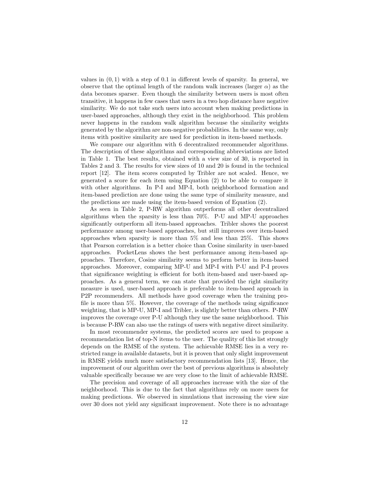values in  $(0, 1)$  with a step of 0.1 in different levels of sparsity. In general, we observe that the optimal length of the random walk increases (larger  $\alpha$ ) as the data becomes sparser. Even though the similarity between users is most often transitive, it happens in few cases that users in a two hop distance have negative similarity. We do not take such users into account when making predictions in user-based approaches, although they exist in the neighborhood. This problem never happens in the random walk algorithm because the similarity weights generated by the algorithm are non-negative probabilities. In the same way, only items with positive similarity are used for prediction in item-based methods.

We compare our algorithm with 6 decentralized recommender algorithms. The description of these algorithms and corresponding abbreviations are listed in Table 1. The best results, obtained with a view size of 30, is reported in Tables 2 and 3. The results for view sizes of 10 and 20 is found in the technical report [12]. The item scores computed by Tribler are not scaled. Hence, we generated a score for each item using Equation (2) to be able to compare it with other algorithms. In P-I and MP-I, both neighborhood formation and item-based prediction are done using the same type of similarity measure, and the predictions are made using the item-based version of Equation (2).

As seen in Table 2, P-RW algorithm outperforms all other decentralized algorithms when the sparsity is less than 70%. P-U and MP-U approaches significantly outperform all item-based approaches. Tribler shows the poorest performance among user-based approaches, but still improves over item-based approaches when sparsity is more than  $5\%$  and less than  $25\%$ . This shows that Pearson correlation is a better choice than Cosine similarity in user-based approaches. PocketLens shows the best performance among item-based approaches. Therefore, Cosine similarity seems to perform better in item-based approaches. Moreover, comparing MP-U and MP-I with P-U and P-I proves that significance weighting is efficient for both item-based and user-based approaches. As a general term, we can state that provided the right similarity measure is used, user-based approach is preferable to item-based approach in P2P recommenders. All methods have good coverage when the training profile is more than 5%. However, the coverage of the methods using significance weighting, that is MP-U, MP-I and Tribler, is slightly better than others. P-RW improves the coverage over P-U although they use the same neighborhood. This is because P-RW can also use the ratings of users with negative direct similarity.

In most recommender systems, the predicted scores are used to propose a recommendation list of top-N items to the user. The quality of this list strongly depends on the RMSE of the system. The achievable RMSE lies in a very restricted range in available datasets, but it is proven that only slight improvement in RMSE yields much more satisfactory recommendation lists [13]. Hence, the improvement of our algorithm over the best of previous algorithms is absolutely valuable specifically because we are very close to the limit of achievable RMSE.

The precision and coverage of all approaches increase with the size of the neighborhood. This is due to the fact that algorithms rely on more users for making predictions. We observed in simulations that increasing the view size over 30 does not yield any significant improvement. Note there is no advantage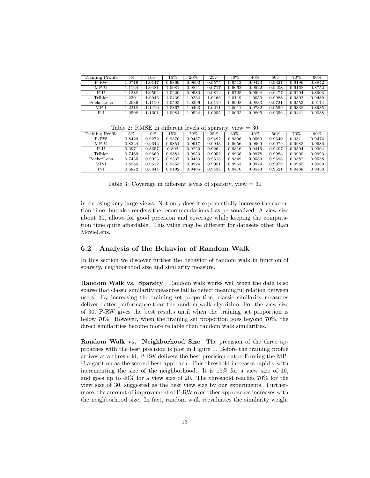| Training Profile | 5%     | $10\%$   | $15\%$ | 20%    | 25%    | 30%    | 40%    | 50%    | 70%    | $90\%$ |
|------------------|--------|----------|--------|--------|--------|--------|--------|--------|--------|--------|
| P-RW             | 1.0719 | 1.0147   | 0.9869 | 0.9693 | 0.9575 | 0.9513 | 0.9423 | 0.9327 | 0.9196 | 0.8842 |
| $MP-U$           | 1.1164 | 1.0481   | 0.0081 | 0.9841 | 0.9717 | 0.9662 | 0.9522 | 0.9408 | 0.9168 | 0.8752 |
| P-U              | .1288  | .0594    | .0220  | 0.9980 | 0.9812 | 0.9725 | 0.9594 | 0.9477 | 0.9294 | 0.8903 |
| Tribler          | 2301   | .0946    | .0439  | .0234  | L.0166 | 1.0119 | 1.0050 | 0.9988 | 0.9892 | 0.9489 |
| PocketLens       | 1.2036 | 1.1110   | .0595  | .0296  | 1.0119 | 0.9998 | 0.9833 | 0.9721 | 0.9553 | 0.9174 |
| $MP-I$           | 2218   | . . 1410 | 0867   | .0493  | L.0211 | 1.0011 | 0.9732 | 0.9559 | 0.9338 | 0.8985 |
| $P-I$            | .2508  | 1601     | 1.0984 | .0524  | 1.0255 | .0062  | 0.9805 | 0.9656 | 0.9441 | 0.9038 |

Table 2: RMSE in different levels of sparsity, view  $= 30$ 

| Training Profile | 5%     | 10%        | $15\%$ | 20%    | $25\%$     | $30\%$ | 40%    | 50%    | 70%    | $90\%$ |
|------------------|--------|------------|--------|--------|------------|--------|--------|--------|--------|--------|
| $P-RW$           | 0.8429 | 0.9272     | 0.9370 | 0.9487 | 0.9492     | 0.9506 | 0.9560 | 0.9540 | 0.9511 | 0.9474 |
| $MP-U$           | 0.8324 | 0.9642     | 0.9854 | 0.9917 | 0.9943     | 0.9956 | 0.9969 | 0.9979 | 0.9983 | 0.9986 |
| $P-I$            | 0.6971 | 0.8657     | 0.892  | 0.9220 | 0.9264     | 0.9316 | 0.9415 | 0.9407 | 0.9394 | 0.9364 |
| Tribler          | 0.7469 | 0.9669     | 0.9881 | 0.9933 | 0.9952     | 0.9966 | 0.9978 | 0.9984 | 0.9990 | 0.9993 |
| PocketLens       | 0.7435 | 0.9023     | 0.9337 | 0.9453 | ${0.9515}$ | 0.9549 | 0.9583 | 0.9598 | 0.9582 | 0.9558 |
| $MP-I$           | 0.8265 | ${0.9612}$ | 0.9853 | 0.9924 | ${0.9951}$ | 0.9963 | 0.9974 | 0.9979 | 0.9985 | 0.9989 |
| P-I              | 0.6872 | 0.8844     | 0.9192 | 0.9406 | 0.9434     | 0.9470 | 0.9543 | 0.9521 | 0.9488 | 0.9458 |

Table 3: Coverage in different levels of sparsity, view  $= 30$ 

in choosing very large views. Not only does it exponentially increase the execution time, but also renders the recommendations less personalized. A view size about 30, allows for good precision and coverage while keeping the computation time quite affordable. This value may be different for datasets other than MovieLens.

#### 6.2 Analysis of the Behavior of Random Walk

In this section we discover further the behavior of random walk in function of sparsity, neighborhood size and similarity measure.

Random Walk vs. Sparsity Random walk works well when the data is so sparse that classic similarity measures fail to detect meaningful relation between users. By increasing the training set proportion, classic similarity measures deliver better performance than the random walk algorithm. For the view size of 30, P-RW gives the best results until when the training set proportion is below 70%. However, when the training set proportion goes beyond 70%, the direct similarities become more reliable than random walk similarities.

Random Walk vs. Neighborhood Size The precision of the three approaches with the best precision is plot in Figure 1. Before the training profile arrives at a threshold, P-RW delivers the best precision outperforming the MP-U algorithm as the second best approach. This threshold increases rapidly with incrementing the size of the neighborhood. It is 15% for a view size of 10, and goes up to 40% for a view size of 20. The threshold reaches 70% for the view size of 30, suggested as the best view size by our experiments. Furthermore, the amount of improvement of P-RW over other approaches increases with the neighborhood size. In fact, random walk reevaluates the similarity weight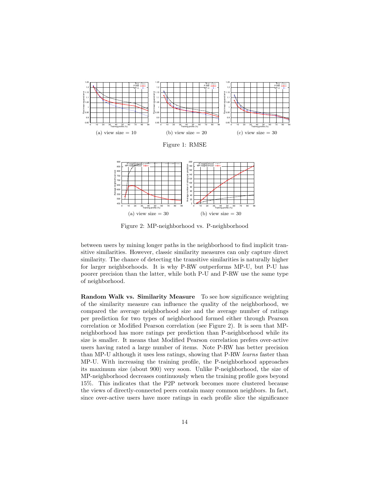

 0 10 20 30 40 50 60 70 80 90  $\overline{40}$  50<br> $\overline{50}$   $\frac{50}{2}$  $(a)$  view size = 30 0 10 20 30 40 50 60 70 80 90 Training profile (%) (b) view size  $= 30$ 

 $0 20 +$ 

 $450 -$ 500

Figure 2: MP-neighborhood vs. P-neighborhood

between users by mining longer paths in the neighborhood to find implicit transitive similarities. However, classic similarity measures can only capture direct similarity. The chance of detecting the transitive similarities is naturally higher for larger neighborhoods. It is why P-RW outperforms MP-U, but P-U has poorer precision than the latter, while both P-U and P-RW use the same type of neighborhood.

Random Walk vs. Similarity Measure To see how significance weighting of the similarity measure can influence the quality of the neighborhood, we compared the average neighborhood size and the average number of ratings per prediction for two types of neighborhood formed either through Pearson correlation or Modified Pearson correlation (see Figure 2). It is seen that MPneighborhood has more ratings per prediction than P-neighborhood while its size is smaller. It means that Modified Pearson correlation prefers over-active users having rated a large number of items. Note P-RW has better precision than MP-U although it uses less ratings, showing that P-RW learns faster than MP-U. With increasing the training profile, the P-neighborhood approaches its maximum size (about 900) very soon. Unlike P-neighborhood, the size of MP-neighborhood decreases continuously when the training profile goes beyond 15%. This indicates that the P2P network becomes more clustered because the views of directly-connected peers contain many common neighbors. In fact, since over-active users have more ratings in each profile slice the significance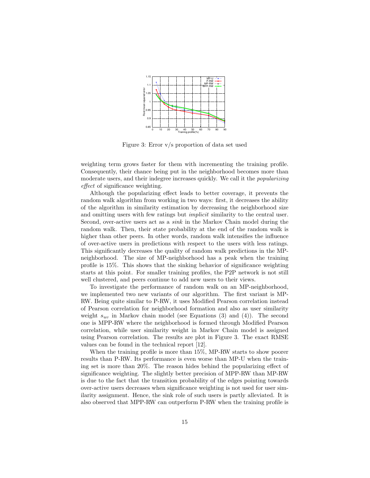

Figure 3: Error v/s proportion of data set used

weighting term grows faster for them with incrementing the training profile. Consequently, their chance being put in the neighborhood becomes more than moderate users, and their indegree increases quickly. We call it the popularizing effect of significance weighting.

Although the popularizing effect leads to better coverage, it prevents the random walk algorithm from working in two ways: first, it decreases the ability of the algorithm in similarity estimation by decreasing the neighborhood size and omitting users with few ratings but implicit similarity to the central user. Second, over-active users act as a *sink* in the Markov Chain model during the random walk. Then, their state probability at the end of the random walk is higher than other peers. In other words, random walk intensifies the influence of over-active users in predictions with respect to the users with less ratings. This significantly decreases the quality of random walk predictions in the MPneighborhood. The size of MP-neighborhood has a peak when the training profile is 15%. This shows that the sinking behavior of significance weighting starts at this point. For smaller training profiles, the P2P network is not still well clustered, and peers continue to add new users to their views.

To investigate the performance of random walk on an MP-neighborhood, we implemented two new variants of our algorithm. The first variant is MP-RW. Being quite similar to P-RW, it uses Modified Pearson correlation instead of Pearson correlation for neighborhood formation and also as user similarity weight  $s_{uv}$  in Markov chain model (see Equations (3) and (4)). The second one is MPP-RW where the neighborhood is formed through Modified Pearson correlation, while user similarity weight in Markov Chain model is assigned using Pearson correlation. The results are plot in Figure 3. The exact RMSE values can be found in the technical report [12].

When the training profile is more than 15%, MP-RW starts to show poorer results than P-RW. Its performance is even worse than MP-U when the training set is more than 20%. The reason hides behind the popularizing effect of significance weighting. The slightly better precision of MPP-RW than MP-RW is due to the fact that the transition probability of the edges pointing towards over-active users decreases when significance weighting is not used for user similarity assignment. Hence, the sink role of such users is partly alleviated. It is also observed that MPP-RW can outperform P-RW when the training profile is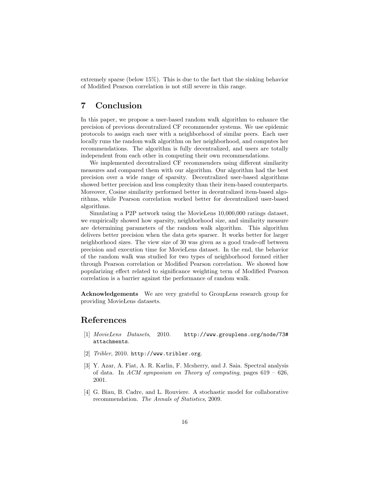extremely sparse (below 15%). This is due to the fact that the sinking behavior of Modified Pearson correlation is not still severe in this range.

## 7 Conclusion

In this paper, we propose a user-based random walk algorithm to enhance the precision of previous decentralized CF recommender systems. We use epidemic protocols to assign each user with a neighborhood of similar peers. Each user locally runs the random walk algorithm on her neighborhood, and computes her recommendations. The algorithm is fully decentralized, and users are totally independent from each other in computing their own recommendations.

We implemented decentralized CF recommenders using different similarity measures and compared them with our algorithm. Our algorithm had the best precision over a wide range of sparsity. Decentralized user-based algorithms showed better precision and less complexity than their item-based counterparts. Moreover, Cosine similarity performed better in decentralized item-based algorithms, while Pearson correlation worked better for decentralized user-based algorithms.

Simulating a P2P network using the MovieLens 10,000,000 ratings dataset, we empirically showed how sparsity, neighborhood size, and similarity measure are determining parameters of the random walk algorithm. This algorithm delivers better precision when the data gets sparser. It works better for larger neighborhood sizes. The view size of 30 was given as a good trade-off between precision and execution time for MovieLens dataset. In the end, the behavior of the random walk was studied for two types of neighborhood formed either through Pearson correlation or Modified Pearson correlation. We showed how popularizing effect related to significance weighting term of Modified Pearson correlation is a barrier against the performance of random walk.

Acknowledgements We are very grateful to GroupLens research group for providing MovieLens datasets.

#### References

- [1] MovieLens Datasets, 2010. http://www.grouplens.org/node/73# attachments.
- [2] Tribler, 2010. http://www.tribler.org.
- [3] Y. Azar, A. Fiat, A. R. Karlin, F. Mcsherry, and J. Saia. Spectral analysis of data. In ACM symposium on Theory of computing, pages  $619 - 626$ , 2001.
- [4] G. Biau, B. Cadre, and L. Rouviere. A stochastic model for collaborative recommendation. The Annals of Statistics, 2009.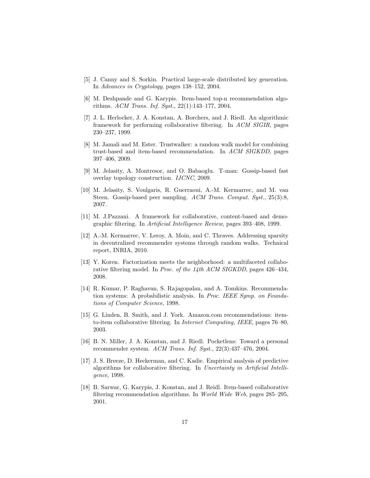- [5] J. Canny and S. Sorkin. Practical large-scale distributed key generation. In Advances in Cryptology, pages 138–152, 2004.
- [6] M. Deshpande and G. Karypis. Item-based top-n recommendation algorithms. ACM Trans. Inf. Syst., 22(1):143–177, 2004.
- [7] J. L. Herlocker, J. A. Konstan, A. Borchers, and J. Riedl. An algorithmic framework for performing collaborative filtering. In ACM SIGIR, pages 230–237, 1999.
- [8] M. Jamali and M. Ester. Trustwalker: a random walk model for combining trust-based and item-based recommendation. In ACM SIGKDD, pages 397–406, 2009.
- [9] M. Jelasity, A. Montresor, and O. Babaoglu. T-man: Gossip-based fast overlay topology construction. IJCNC, 2009.
- [10] M. Jelasity, S. Voulgaris, R. Guerraoui, A.-M. Kermarrec, and M. van Steen. Gossip-based peer sampling. ACM Trans. Comput. Syst., 25(3):8, 2007.
- [11] M. J.Pazzani. A framework for collaborative, content-based and demographic filtering. In Artificial Intelligence Review, pages 393–408, 1999.
- [12] A.-M. Kermarrec, V. Leroy, A. Moin, and C. Thraves. Addressing sparsity in decentralized recommender systems through random walks. Technical report, INRIA, 2010.
- [13] Y. Koren. Factorization meets the neighborhood: a multifaceted collaborative filtering model. In Proc. of the 14th ACM SIGKDD, pages 426–434, 2008.
- [14] R. Kumar, P. Raghavan, S. Rajagopalan, and A. Tomkins. Recommendation systems: A probabilistic analysis. In Proc. IEEE Symp. on Foundations of Computer Science, 1998.
- [15] G. Linden, B. Smith, and J. York. Amazon.com recommendations: itemto-item collaborative filtering. In Internet Computing, IEEE, pages 76–80, 2003.
- [16] B. N. Miller, J. A. Konstan, and J. Riedl. Pocketlens: Toward a personal recommender system. ACM Trans. Inf. Syst., 22(3):437–476, 2004.
- [17] J. S. Breeze, D. Heckerman, and C. Kadie. Empirical analysis of predictive algorithms for collaborative filtering. In Uncertainty in Artificial Intelligence, 1998.
- [18] B. Sarwar, G. Karypis, J. Konstan, and J. Reidl. Item-based collaborative filtering recommendation algorithms. In World Wide Web, pages 285–295, 2001.